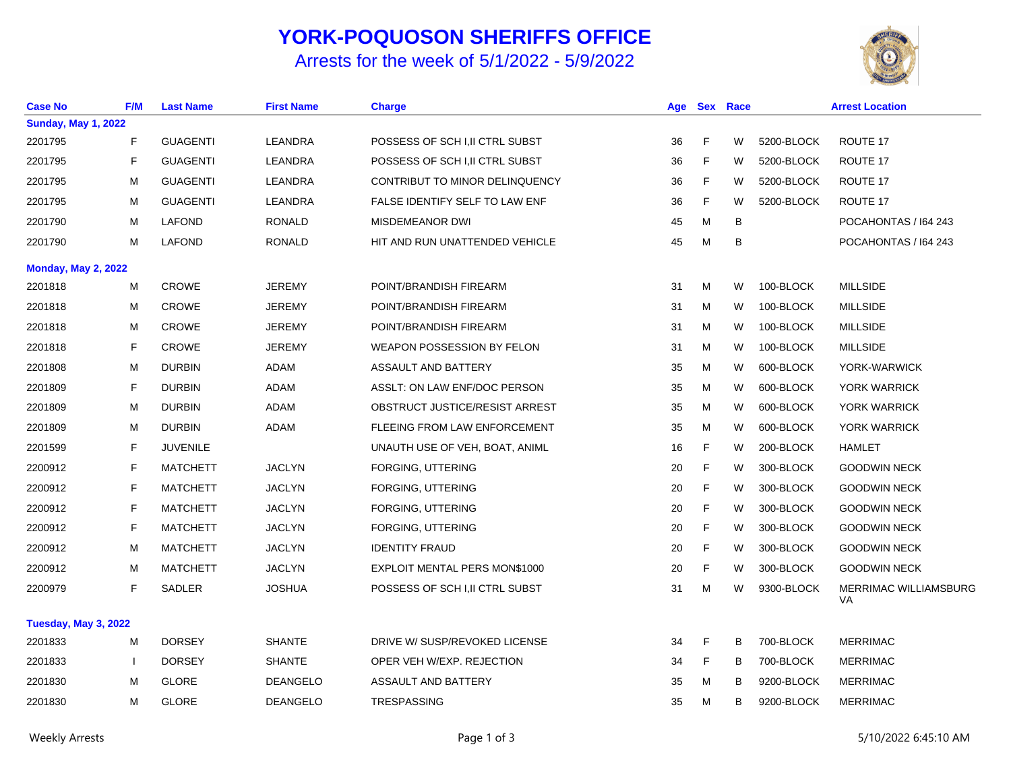## **YORK-POQUOSON SHERIFFS OFFICE**

## Arrests for the week of 5/1/2022 - 5/9/2022



| <b>Case No</b>             | F/M                      | <b>Last Name</b> | <b>First Name</b> | <b>Charge</b>                     | Age |   | <b>Sex Race</b> | <b>Arrest Location</b> |                                    |
|----------------------------|--------------------------|------------------|-------------------|-----------------------------------|-----|---|-----------------|------------------------|------------------------------------|
| <b>Sunday, May 1, 2022</b> |                          |                  |                   |                                   |     |   |                 |                        |                                    |
| 2201795                    | F                        | <b>GUAGENTI</b>  | LEANDRA           | POSSESS OF SCH I, II CTRL SUBST   | 36  | F | W               | 5200-BLOCK             | ROUTE 17                           |
| 2201795                    | F                        | <b>GUAGENTI</b>  | LEANDRA           | POSSESS OF SCH I, II CTRL SUBST   | 36  | F | W               | 5200-BLOCK             | ROUTE 17                           |
| 2201795                    | M                        | <b>GUAGENTI</b>  | LEANDRA           | CONTRIBUT TO MINOR DELINQUENCY    | 36  | F | W               | 5200-BLOCK             | ROUTE 17                           |
| 2201795                    | м                        | <b>GUAGENTI</b>  | LEANDRA           | FALSE IDENTIFY SELF TO LAW ENF    | 36  | F | W               | 5200-BLOCK             | ROUTE 17                           |
| 2201790                    | м                        | <b>LAFOND</b>    | <b>RONALD</b>     | MISDEMEANOR DWI                   | 45  | м | В               |                        | POCAHONTAS / 164 243               |
| 2201790                    | M                        | <b>LAFOND</b>    | <b>RONALD</b>     | HIT AND RUN UNATTENDED VEHICLE    | 45  | м | В               |                        | POCAHONTAS / 164 243               |
| <b>Monday, May 2, 2022</b> |                          |                  |                   |                                   |     |   |                 |                        |                                    |
| 2201818                    | M                        | <b>CROWE</b>     | <b>JEREMY</b>     | POINT/BRANDISH FIREARM            | 31  | M | W               | 100-BLOCK              | <b>MILLSIDE</b>                    |
| 2201818                    | м                        | CROWE            | <b>JEREMY</b>     | POINT/BRANDISH FIREARM            | 31  | M | W               | 100-BLOCK              | <b>MILLSIDE</b>                    |
| 2201818                    | м                        | <b>CROWE</b>     | <b>JEREMY</b>     | POINT/BRANDISH FIREARM            | 31  | M | W               | 100-BLOCK              | <b>MILLSIDE</b>                    |
| 2201818                    | F                        | <b>CROWE</b>     | <b>JEREMY</b>     | <b>WEAPON POSSESSION BY FELON</b> | 31  | M | W               | 100-BLOCK              | <b>MILLSIDE</b>                    |
| 2201808                    | м                        | <b>DURBIN</b>    | <b>ADAM</b>       | ASSAULT AND BATTERY               | 35  | M | W               | 600-BLOCK              | YORK-WARWICK                       |
| 2201809                    | F                        | <b>DURBIN</b>    | ADAM              | ASSLT: ON LAW ENF/DOC PERSON      | 35  | M | W               | 600-BLOCK              | <b>YORK WARRICK</b>                |
| 2201809                    | M                        | <b>DURBIN</b>    | ADAM              | OBSTRUCT JUSTICE/RESIST ARREST    | 35  | М | W               | 600-BLOCK              | <b>YORK WARRICK</b>                |
| 2201809                    | M                        | <b>DURBIN</b>    | ADAM              | FLEEING FROM LAW ENFORCEMENT      | 35  | м | W               | 600-BLOCK              | <b>YORK WARRICK</b>                |
| 2201599                    | F                        | <b>JUVENILE</b>  |                   | UNAUTH USE OF VEH, BOAT, ANIML    | 16  | F | W               | 200-BLOCK              | <b>HAMLET</b>                      |
| 2200912                    | F                        | <b>MATCHETT</b>  | <b>JACLYN</b>     | FORGING, UTTERING                 | 20  | F | W               | 300-BLOCK              | <b>GOODWIN NECK</b>                |
| 2200912                    | F                        | <b>MATCHETT</b>  | <b>JACLYN</b>     | FORGING, UTTERING                 | 20  | F | W               | 300-BLOCK              | <b>GOODWIN NECK</b>                |
| 2200912                    | F                        | <b>MATCHETT</b>  | <b>JACLYN</b>     | FORGING, UTTERING                 | 20  | F | W               | 300-BLOCK              | <b>GOODWIN NECK</b>                |
| 2200912                    | F                        | <b>MATCHETT</b>  | <b>JACLYN</b>     | FORGING, UTTERING                 | 20  | F | W               | 300-BLOCK              | <b>GOODWIN NECK</b>                |
| 2200912                    | м                        | <b>MATCHETT</b>  | <b>JACLYN</b>     | <b>IDENTITY FRAUD</b>             | 20  | F | W               | 300-BLOCK              | <b>GOODWIN NECK</b>                |
| 2200912                    | м                        | <b>MATCHETT</b>  | <b>JACLYN</b>     | EXPLOIT MENTAL PERS MON\$1000     | 20  | F | W               | 300-BLOCK              | <b>GOODWIN NECK</b>                |
| 2200979                    | F                        | <b>SADLER</b>    | <b>JOSHUA</b>     | POSSESS OF SCH I, II CTRL SUBST   | 31  | M | W               | 9300-BLOCK             | <b>MERRIMAC WILLIAMSBURG</b><br>VA |
| Tuesday, May 3, 2022       |                          |                  |                   |                                   |     |   |                 |                        |                                    |
| 2201833                    | м                        | <b>DORSEY</b>    | <b>SHANTE</b>     | DRIVE W/ SUSP/REVOKED LICENSE     | 34  | F | B               | 700-BLOCK              | <b>MERRIMAC</b>                    |
| 2201833                    | $\overline{\phantom{a}}$ | <b>DORSEY</b>    | <b>SHANTE</b>     | OPER VEH W/EXP. REJECTION         | 34  | F | В               | 700-BLOCK              | <b>MERRIMAC</b>                    |
| 2201830                    | м                        | <b>GLORE</b>     | <b>DEANGELO</b>   | ASSAULT AND BATTERY               | 35  | м | В               | 9200-BLOCK             | <b>MERRIMAC</b>                    |
| 2201830                    | м                        | <b>GLORE</b>     | <b>DEANGELO</b>   | <b>TRESPASSING</b>                | 35  | м | В               | 9200-BLOCK             | <b>MERRIMAC</b>                    |
|                            |                          |                  |                   |                                   |     |   |                 |                        |                                    |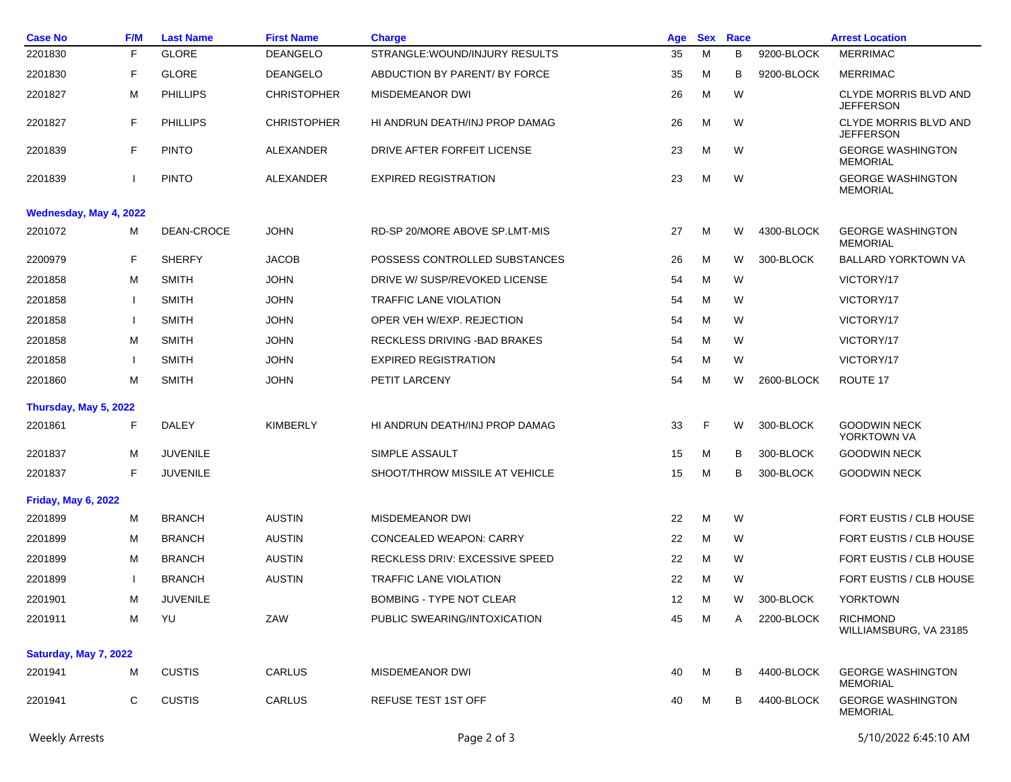| <b>Case No</b>             | <b>F/M</b>             | <b>Last Name</b> | <b>First Name</b>  | <b>Charge</b>                   | Age | <b>Sex</b> | Race |            | <b>Arrest Location</b>                           |  |
|----------------------------|------------------------|------------------|--------------------|---------------------------------|-----|------------|------|------------|--------------------------------------------------|--|
| 2201830                    | F                      | <b>GLORE</b>     | <b>DEANGELO</b>    | STRANGLE: WOUND/INJURY RESULTS  | 35  | M          | В    | 9200-BLOCK | <b>MERRIMAC</b>                                  |  |
| 2201830                    | F                      | <b>GLORE</b>     | <b>DEANGELO</b>    | ABDUCTION BY PARENT/ BY FORCE   | 35  | м          | В    | 9200-BLOCK | <b>MERRIMAC</b>                                  |  |
| 2201827                    | М                      | <b>PHILLIPS</b>  | <b>CHRISTOPHER</b> | MISDEMEANOR DWI                 | 26  | м          | W    |            | <b>CLYDE MORRIS BLVD AND</b><br><b>JEFFERSON</b> |  |
| 2201827                    | F                      | PHILLIPS         | <b>CHRISTOPHER</b> | HI ANDRUN DEATH/INJ PROP DAMAG  | 26  | M          | W    |            | <b>CLYDE MORRIS BLVD AND</b><br><b>JEFFERSON</b> |  |
| 2201839                    | F                      | <b>PINTO</b>     | ALEXANDER          | DRIVE AFTER FORFEIT LICENSE     | 23  | M          | W    |            | <b>GEORGE WASHINGTON</b><br><b>MEMORIAL</b>      |  |
| 2201839                    |                        | <b>PINTO</b>     | ALEXANDER          | <b>EXPIRED REGISTRATION</b>     | 23  | M          | W    |            | <b>GEORGE WASHINGTON</b><br><b>MEMORIAL</b>      |  |
|                            | Wednesday, May 4, 2022 |                  |                    |                                 |     |            |      |            |                                                  |  |
| 2201072                    | м                      | DEAN-CROCE       | <b>JOHN</b>        | RD-SP 20/MORE ABOVE SP.LMT-MIS  | 27  | м          | W    | 4300-BLOCK | <b>GEORGE WASHINGTON</b><br><b>MEMORIAL</b>      |  |
| 2200979                    | F                      | <b>SHERFY</b>    | <b>JACOB</b>       | POSSESS CONTROLLED SUBSTANCES   | 26  | M          | W    | 300-BLOCK  | <b>BALLARD YORKTOWN VA</b>                       |  |
| 2201858                    | M                      | <b>SMITH</b>     | <b>JOHN</b>        | DRIVE W/ SUSP/REVOKED LICENSE   | 54  | M          | W    |            | VICTORY/17                                       |  |
| 2201858                    |                        | <b>SMITH</b>     | <b>JOHN</b>        | <b>TRAFFIC LANE VIOLATION</b>   | 54  | м          | W    |            | VICTORY/17                                       |  |
| 2201858                    |                        | <b>SMITH</b>     | <b>JOHN</b>        | OPER VEH W/EXP. REJECTION       | 54  | м          | W    |            | VICTORY/17                                       |  |
| 2201858                    | м                      | <b>SMITH</b>     | <b>JOHN</b>        | RECKLESS DRIVING - BAD BRAKES   | 54  | M          | W    |            | VICTORY/17                                       |  |
| 2201858                    |                        | <b>SMITH</b>     | <b>JOHN</b>        | <b>EXPIRED REGISTRATION</b>     | 54  | м          | W    |            | VICTORY/17                                       |  |
| 2201860                    | M                      | <b>SMITH</b>     | <b>JOHN</b>        | PETIT LARCENY                   | 54  | м          | W    | 2600-BLOCK | ROUTE 17                                         |  |
| Thursday, May 5, 2022      |                        |                  |                    |                                 |     |            |      |            |                                                  |  |
| 2201861                    | F                      | <b>DALEY</b>     | <b>KIMBERLY</b>    | HI ANDRUN DEATH/INJ PROP DAMAG  | 33  | F          | W    | 300-BLOCK  | <b>GOODWIN NECK</b><br>YORKTOWN VA               |  |
| 2201837                    | м                      | <b>JUVENILE</b>  |                    | SIMPLE ASSAULT                  | 15  | м          | В    | 300-BLOCK  | <b>GOODWIN NECK</b>                              |  |
| 2201837                    | F                      | <b>JUVENILE</b>  |                    | SHOOT/THROW MISSILE AT VEHICLE  | 15  | M          | В    | 300-BLOCK  | <b>GOODWIN NECK</b>                              |  |
| <b>Friday, May 6, 2022</b> |                        |                  |                    |                                 |     |            |      |            |                                                  |  |
| 2201899                    | м                      | <b>BRANCH</b>    | <b>AUSTIN</b>      | MISDEMEANOR DWI                 | 22  | M          | W    |            | FORT EUSTIS / CLB HOUSE                          |  |
| 2201899                    | м                      | <b>BRANCH</b>    | <b>AUSTIN</b>      | <b>CONCEALED WEAPON: CARRY</b>  | 22  | M          | W    |            | FORT EUSTIS / CLB HOUSE                          |  |
| 2201899                    | м                      | <b>BRANCH</b>    | <b>AUSTIN</b>      | RECKLESS DRIV: EXCESSIVE SPEED  | 22  | м          | W    |            | FORT EUSTIS / CLB HOUSE                          |  |
| 2201899                    |                        | BRANCH           | <b>AUSTIN</b>      | <b>TRAFFIC LANE VIOLATION</b>   | 22  | M          | W    |            | FORT EUSTIS / CLB HOUSE                          |  |
| 2201901                    | м                      | <b>JUVENILE</b>  |                    | <b>BOMBING - TYPE NOT CLEAR</b> | 12  | м          | W    | 300-BLOCK  | <b>YORKTOWN</b>                                  |  |
| 2201911                    | М                      | YU               | ZAW                | PUBLIC SWEARING/INTOXICATION    | 45  | м          | A    | 2200-BLOCK | <b>RICHMOND</b><br>WILLIAMSBURG, VA 23185        |  |
| Saturday, May 7, 2022      |                        |                  |                    |                                 |     |            |      |            |                                                  |  |
| 2201941                    | M                      | <b>CUSTIS</b>    | CARLUS             | MISDEMEANOR DWI                 | 40  | м          | В    | 4400-BLOCK | <b>GEORGE WASHINGTON</b><br><b>MEMORIAL</b>      |  |
| 2201941                    | С                      | <b>CUSTIS</b>    | CARLUS             | <b>REFUSE TEST 1ST OFF</b>      | 40  | M          | В    | 4400-BLOCK | <b>GEORGE WASHINGTON</b><br><b>MEMORIAL</b>      |  |